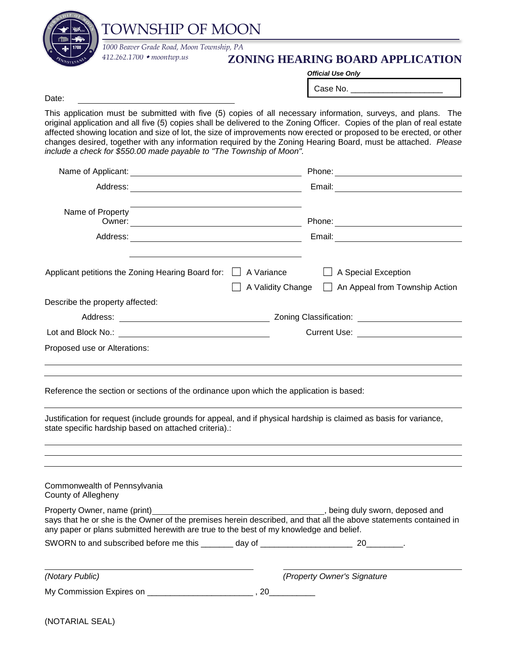

## **ZONING HEARING BOARD APPLICATION**

*Official Use Only*

Case No.

Date:

This application must be submitted with five (5) copies of all necessary information, surveys, and plans. The original application and all five (5) copies shall be delivered to the Zoning Officer. Copies of the plan of real estate affected showing location and size of lot, the size of improvements now erected or proposed to be erected, or other changes desired, together with any information required by the Zoning Hearing Board, must be attached. *Please include a check for \$550.00 made payable to "The Township of Moon".*

| Name of Property                                                                        | Owner: Owner: New York 2008 and 2009 and 2009 and 2009 and 2009 and 2009 and 2009 and 2009 and 2009 and 2009 and 2009 and 2009 and 2009 and 2009 and 2009 and 2009 and 2009 and 2009 and 2009 and 2009 and 2009 and 2009 and 2 |
|-----------------------------------------------------------------------------------------|--------------------------------------------------------------------------------------------------------------------------------------------------------------------------------------------------------------------------------|
|                                                                                         |                                                                                                                                                                                                                                |
| Applicant petitions the Zoning Hearing Board for: $\Box$ A Variance                     | A Special Exception<br>A Validity Change   An Appeal from Township Action                                                                                                                                                      |
| Describe the property affected:                                                         |                                                                                                                                                                                                                                |
|                                                                                         |                                                                                                                                                                                                                                |
|                                                                                         | Current Use: <u>______________________</u>                                                                                                                                                                                     |
| Proposed use or Alterations:                                                            |                                                                                                                                                                                                                                |
| Reference the section or sections of the ordinance upon which the application is based: |                                                                                                                                                                                                                                |
| state specific hardship based on attached criteria).:                                   | Justification for request (include grounds for appeal, and if physical hardship is claimed as basis for variance,                                                                                                              |
|                                                                                         |                                                                                                                                                                                                                                |
| Commonwealth of Pennsylvania<br>County of Allegheny                                     |                                                                                                                                                                                                                                |
| any paper or plans submitted herewith are true to the best of my knowledge and belief.  | says that he or she is the Owner of the premises herein described, and that all the above statements contained in                                                                                                              |
|                                                                                         |                                                                                                                                                                                                                                |
| (Notary Public)                                                                         | (Property Owner's Signature                                                                                                                                                                                                    |

My Commission Expires on \_\_\_\_\_\_\_\_\_\_\_\_\_\_\_\_\_\_\_\_\_\_\_\_\_\_\_\_\_\_\_, 20\_